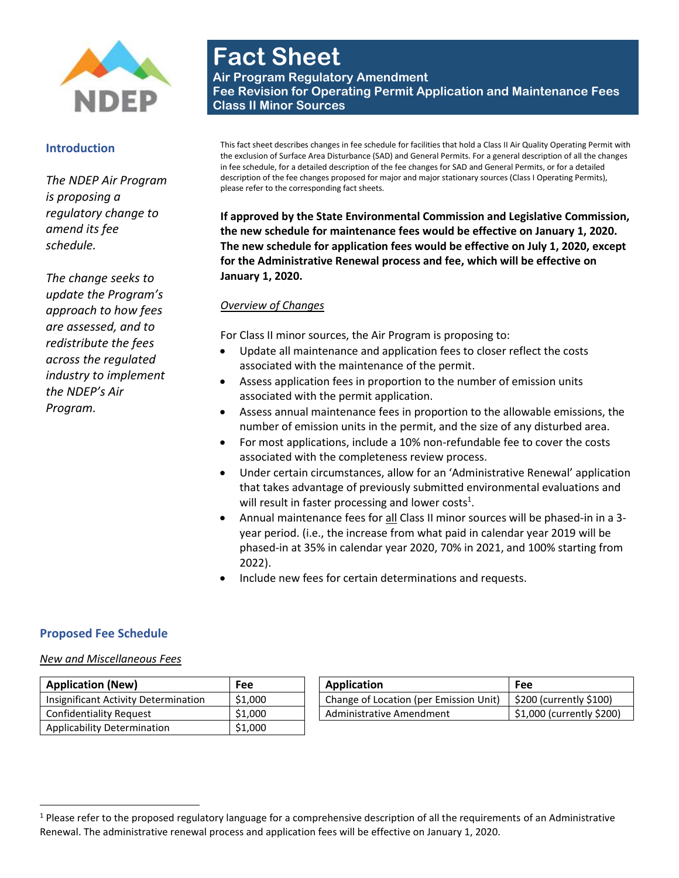

#### **Introduction**

*The NDEP Air Program is proposing a regulatory change to amend its fee schedule.* 

*The change seeks to update the Program's approach to how fees are assessed, and to redistribute the fees across the regulated industry to implement the NDEP's Air Program.* 

# **Fact Sheet**

**Air Program Regulatory Amendment Fee Revision for Operating Permit Application and Maintenance Fees Class II Minor Sources**

This fact sheet describes changes in fee schedule for facilities that hold a Class II Air Quality Operating Permit with the exclusion of Surface Area Disturbance (SAD) and General Permits. For a general description of all the changes in fee schedule, for a detailed description of the fee changes for SAD and General Permits, or for a detailed description of the fee changes proposed for major and major stationary sources (Class I Operating Permits), please refer to the corresponding fact sheets.

**If approved by the State Environmental Commission and Legislative Commission, the new schedule for maintenance fees would be effective on January 1, 2020. The new schedule for application fees would be effective on July 1, 2020, except for the Administrative Renewal process and fee, which will be effective on January 1, 2020.**

#### *Overview of Changes*

For Class II minor sources, the Air Program is proposing to:

- Update all maintenance and application fees to closer reflect the costs associated with the maintenance of the permit.
- Assess application fees in proportion to the number of emission units associated with the permit application.
- Assess annual maintenance fees in proportion to the allowable emissions, the number of emission units in the permit, and the size of any disturbed area.
- For most applications, include a 10% non-refundable fee to cover the costs associated with the completeness review process.
- Under certain circumstances, allow for an 'Administrative Renewal' application that takes advantage of previously submitted environmental evaluations and will result in faster processing and lower costs<sup>1</sup>.
- Annual maintenance fees for all Class II minor sources will be phased-in in a 3 year period. (i.e., the increase from what paid in calendar year 2019 will be phased-in at 35% in calendar year 2020, 70% in 2021, and 100% starting from 2022).

<span id="page-0-0"></span>Confidently \$200 And four tends \$1,000 Acres

Include new fees for certain determinations and requests.

### **Proposed Fee Schedule**

 $\overline{\phantom{a}}$ 

#### *New and Miscellaneous Fees*

| <b>Application (New)</b>             | Fee     | Application                            | Fee                      |
|--------------------------------------|---------|----------------------------------------|--------------------------|
| Insignificant Activity Determination | \$1,000 | Change of Location (per Emission Unit) | \$200 (currently \$100)  |
| Confidentiality Request              | \$1,000 | Administrative Amendment               | \$1,000 (currently \$200 |
| Applicability Determination          | \$1,000 |                                        |                          |

 $1$  Please refer to the proposed regulatory language for a comprehensive description of all the requirements of an Administrative Renewal. The administrative renewal process and application fees will be effective on January 1, 2020.